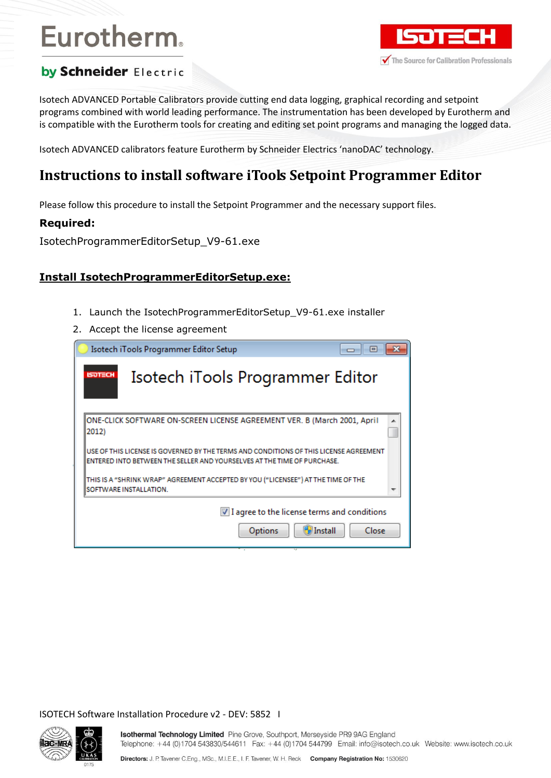# Eurotherm.



# by Schneider Electric

Isotech ADVANCED Portable Calibrators provide cutting end data logging, graphical recording and setpoint programs combined with world leading performance. The instrumentation has been developed by Eurotherm and is compatible with the Eurotherm tools for creating and editing set point programs and managing the logged data.

Isotech ADVANCED calibrators feature Eurotherm by Schneider Electrics 'nanoDAC' technology.

# **Instructions to install software iTools Setpoint Programmer Editor**

Please follow this procedure to install the Setpoint Programmer and the necessary support files.

### **Required:**

IsotechProgrammerEditorSetup\_V9-61.exe

## **Install IsotechProgrammerEditorSetup.exe:**

- 1. Launch the IsotechProgrammerEditorSetup\_V9-61.exe installer
- 2. Accept the license agreement

|                | Isotech iTools Programmer Editor Setup                                                                                                                           | $\vert$ $\vert$ |
|----------------|------------------------------------------------------------------------------------------------------------------------------------------------------------------|-----------------|
| <b>ISOTECH</b> | Isotech iTools Programmer Editor                                                                                                                                 |                 |
| 2012)          | ONE-CLICK SOFTWARE ON-SCREEN LICENSE AGREEMENT VER. B (March 2001, April                                                                                         |                 |
|                | USE OF THIS LICENSE IS GOVERNED BY THE TERMS AND CONDITIONS OF THIS LICENSE AGREEMENT<br>ENTERED INTO BETWEEN THE SELLER AND YOURSELVES AT THE TIME OF PURCHASE. |                 |
|                | THIS IS A "SHRINK WRAP" AGREEMENT ACCEPTED BY YOU ("LICENSEE") AT THE TIME OF THE<br><b>ISOFTWARE INSTALLATION.</b>                                              |                 |
|                | $\vee$ I agree to the license terms and conditions<br><b>Install</b><br>Options                                                                                  | Close           |

ISOTECH Software Installation Procedure v2 - DEV: 5852 I

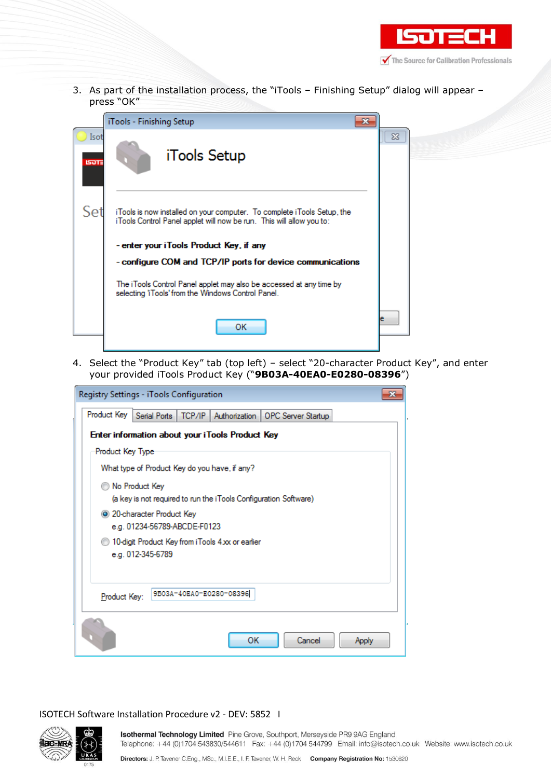

3. As part of the installation process, the "iTools – Finishing Setup" dialog will appear – press "OK"

|                      | iTools - Finishing Setup                                                                                                                        |          |
|----------------------|-------------------------------------------------------------------------------------------------------------------------------------------------|----------|
| Isot<br><b>ISOT:</b> | iTools Setup                                                                                                                                    | $\Sigma$ |
| Set                  | iTools is now installed on your computer. To complete iTools Setup, the<br>iTools Control Panel applet will now be run. This will allow you to: |          |
|                      | - enter your iTools Product Key, if any                                                                                                         |          |
|                      | - configure COM and TCP/IP ports for device communications                                                                                      |          |
|                      | The iTools Control Panel applet may also be accessed at any time by<br>selecting 'iTools' from the Windows Control Panel.                       |          |
|                      | ок                                                                                                                                              |          |

4. Select the "Product Key" tab (top left) – select "20-character Product Key", and enter your provided iTools Product Key ("**9B03A-40EA0-E0280-08396**")

| Registry Settings - iTools Configuration                                  |  |  |  |  |  |
|---------------------------------------------------------------------------|--|--|--|--|--|
| Product Key<br>Serial Ports   TCP/IP   Authorization   OPC Server Startup |  |  |  |  |  |
| Enter information about your iTools Product Key                           |  |  |  |  |  |
| Product Key Type                                                          |  |  |  |  |  |
| What type of Product Key do you have, if any?                             |  |  |  |  |  |
| No Product Key                                                            |  |  |  |  |  |
| (a key is not required to run the iTools Configuration Software)          |  |  |  |  |  |
| 20-character Product Key                                                  |  |  |  |  |  |
| e.g. 01234-56789-ABCDE-F0123                                              |  |  |  |  |  |
| 10-digit Product Key from iTools 4xx or earlier                           |  |  |  |  |  |
| e.g. 012-345-6789                                                         |  |  |  |  |  |
|                                                                           |  |  |  |  |  |
| 9B03A-40EA0-E0280-08396<br>Product Key:                                   |  |  |  |  |  |
|                                                                           |  |  |  |  |  |
| Cancel<br>ОК<br>Apply                                                     |  |  |  |  |  |

#### ISOTECH Software Installation Procedure v2 - DEV: 5852 I

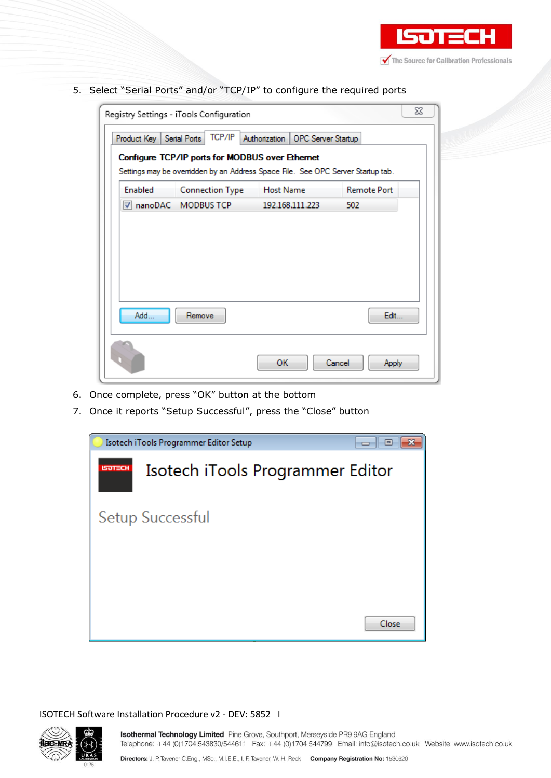

5. Select "Serial Ports" and/or "TCP/IP" to configure the required ports

| Product Key    | Registry Settings - iTools Configuration<br>TCP/IP<br>Serial Ports                                                                 | Authorization   OPC Server Startup | 23                 |
|----------------|------------------------------------------------------------------------------------------------------------------------------------|------------------------------------|--------------------|
|                | Configure TCP/IP ports for MODBUS over Ethernet<br>Settings may be ovemidden by an Address Space File. See OPC Server Startup tab. |                                    |                    |
| <b>Enabled</b> | <b>Connection Type</b>                                                                                                             | Host Name                          | <b>Remote Port</b> |
|                | V nanoDAC MODBUS TCP                                                                                                               | 192.168.111.223                    | 502                |
| Add            | Remove                                                                                                                             |                                    | Edit               |
|                |                                                                                                                                    |                                    |                    |

- 6. Once complete, press "OK" button at the bottom
- 7. Once it reports "Setup Successful", press the "Close" button



#### ISOTECH Software Installation Procedure v2 - DEV: 5852 I

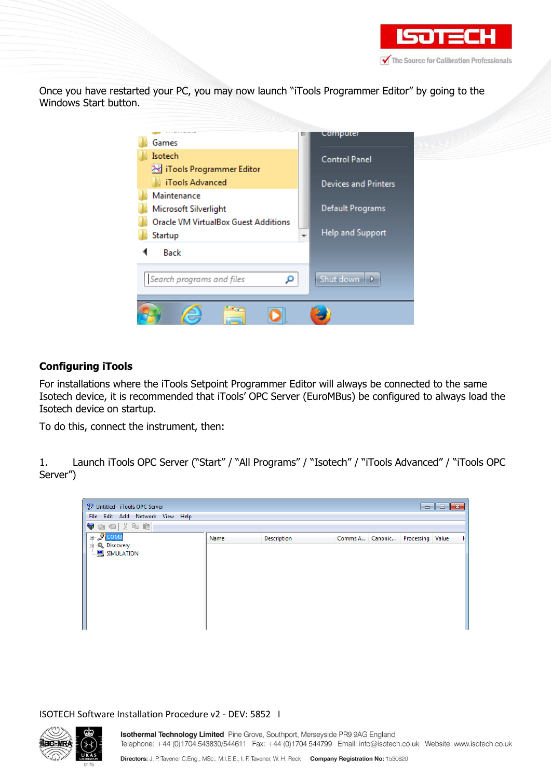

Once you have restarted your PC, you may now launch "iTools Programmer Editor" by going to the Windows Start button.



## **Configuring iTools**

For installations where the iTools Setpoint Programmer Editor will always be connected to the same Isotech device, it is recommended that iTools' OPC Server (EuroMBus) be configured to always load the Isotech device on startup.

To do this, connect the instrument, then:

1. Launch iTools OPC Server ("Start" / "All Programs" / "Isotech" / "iTools Advanced" / "iTools OPC Server")

| <sup>96</sup> Untitled - iTools OPC Server |      |                    |  |                                  | $\begin{array}{c c c c c c} \hline \multicolumn{3}{c }{\mathbf{C}} & \multicolumn{3}{c }{\mathbf{S}} & \multicolumn{3}{c }{\mathbf{S}} & \multicolumn{3}{c }{\mathbf{S}} & \multicolumn{3}{c }{\mathbf{S}} & \multicolumn{3}{c }{\mathbf{S}} & \multicolumn{3}{c }{\mathbf{S}} & \multicolumn{3}{c }{\mathbf{S}} & \multicolumn{3}{c }{\mathbf{S}} & \multicolumn{3}{c }{\mathbf{S}} & \multicolumn{3}{c }{\mathbf{S}} & \multicolumn{3}{c }{\mathbf$ |
|--------------------------------------------|------|--------------------|--|----------------------------------|-------------------------------------------------------------------------------------------------------------------------------------------------------------------------------------------------------------------------------------------------------------------------------------------------------------------------------------------------------------------------------------------------------------------------------------------------------|
| File Edit Add Network View Help            |      |                    |  |                                  |                                                                                                                                                                                                                                                                                                                                                                                                                                                       |
| Vadijec                                    |      |                    |  |                                  |                                                                                                                                                                                                                                                                                                                                                                                                                                                       |
| <b>E-</b> SCOM3                            | Name | <b>Description</b> |  | Comms A Canonic Processing Value |                                                                                                                                                                                                                                                                                                                                                                                                                                                       |
| <b>E-Q</b> Discovery                       |      |                    |  |                                  |                                                                                                                                                                                                                                                                                                                                                                                                                                                       |
| <b>E</b> SIMULATION                        |      |                    |  |                                  |                                                                                                                                                                                                                                                                                                                                                                                                                                                       |
|                                            |      |                    |  |                                  |                                                                                                                                                                                                                                                                                                                                                                                                                                                       |
|                                            |      |                    |  |                                  |                                                                                                                                                                                                                                                                                                                                                                                                                                                       |
|                                            |      |                    |  |                                  |                                                                                                                                                                                                                                                                                                                                                                                                                                                       |
|                                            |      |                    |  |                                  |                                                                                                                                                                                                                                                                                                                                                                                                                                                       |
|                                            |      |                    |  |                                  |                                                                                                                                                                                                                                                                                                                                                                                                                                                       |
|                                            |      |                    |  |                                  |                                                                                                                                                                                                                                                                                                                                                                                                                                                       |
|                                            |      |                    |  |                                  |                                                                                                                                                                                                                                                                                                                                                                                                                                                       |
|                                            |      |                    |  |                                  |                                                                                                                                                                                                                                                                                                                                                                                                                                                       |

ISOTECH Software Installation Procedure v2 - DEV: 5852 I

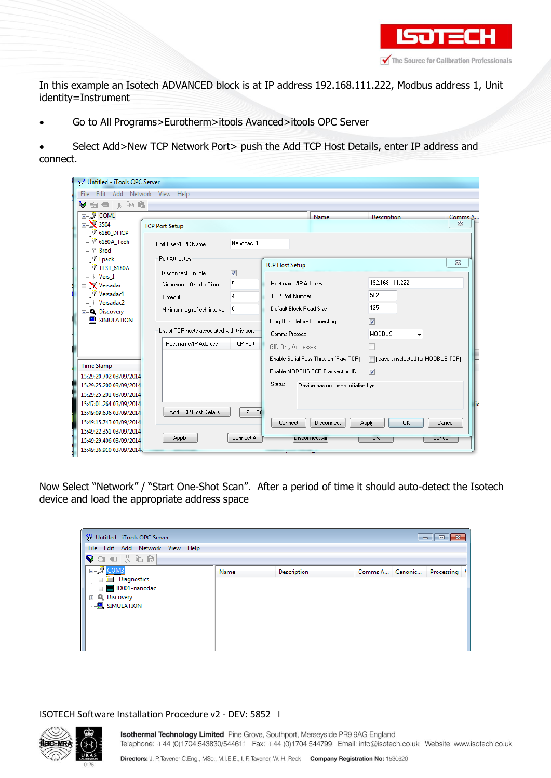

In this example an Isotech ADVANCED block is at IP address 192.168.111.222, Modbus address 1, Unit identity=Instrument

- Go to All Programs>Eurotherm>itools Avanced>itools OPC Server
- Select Add>New TCP Network Port> push the Add TCP Host Details, enter IP address and connect.

| <b>W</b> Untitled - iTools OPC Server                  |                                             |                          |                             |                                      |                                     |          |
|--------------------------------------------------------|---------------------------------------------|--------------------------|-----------------------------|--------------------------------------|-------------------------------------|----------|
| Edit Add Network View Help<br>File:                    |                                             |                          |                             |                                      |                                     |          |
| 人生自<br>$\circledcirc$<br>v                             |                                             |                          |                             |                                      |                                     |          |
| ⊞- <i></i> , ு⊂om1                                     |                                             |                          |                             | Name                                 | Description                         | Comms A  |
| $\mathbb{R}$ 3504                                      | <b>TCP Port Setup</b>                       |                          |                             |                                      |                                     | $\Sigma$ |
| — ≫ 6180_DHCP<br>$ \%$ 6180A_Tech<br>$\mathbb{Z}$ Brod | Port User/OPC Name                          | Nanodac 1                |                             |                                      |                                     |          |
| $\mathbb{Z}$ Epack                                     | Port Attributes                             |                          | <b>TCP Host Setup</b>       |                                      |                                     | $\Sigma$ |
| $\mathbb{Z}$ TEST_6180A                                | Disconnect On Idle                          | $\overline{\mathcal{F}}$ |                             |                                      |                                     |          |
| $\mathbb{Z}$ Vers 1<br><b>E</b> Versadac               | Disconnect On Idle Time                     | 5                        | Host name/IP Address        |                                      | 192.168.111.222                     |          |
| $\mathcal{F}$ Versadac $1$                             | Timeout                                     | 400                      | <b>TCP Port Number</b>      |                                      | 502                                 |          |
| Versadac2<br><b>E</b> Discovery                        | Minimum tag refresh interval                | 0                        | Default Block Read Size     |                                      | 125                                 |          |
| <b>E</b> SIMULATION                                    |                                             |                          | Ping Host Before Connecting |                                      | $\triangledown$                     |          |
|                                                        | List of TCP hosts associated with this port |                          | Comms Protocol              |                                      | <b>MODBUS</b>                       |          |
|                                                        | Host name/IP Address                        | TCP Port                 |                             |                                      |                                     |          |
|                                                        |                                             |                          | GID Only Addresses          |                                      |                                     |          |
|                                                        |                                             |                          |                             | Enable Serial Pass-Through (Raw TCP) | □ fleave unselected for MODBUS TCP) |          |
| <b>Time Stamp</b>                                      |                                             |                          |                             | Enable MODBUS TCP Transaction ID     | $\overline{\mathbf{v}}$             |          |
| 15:29:20.702 03/09/2014                                |                                             |                          | <b>Status</b>               |                                      |                                     |          |
| 15:29:25.200 03/09/2014<br>15:29:25.201 03/09/2014     |                                             |                          |                             | Device has not been initialised yet  |                                     |          |
| 15:47:01.264 03/09/2014                                |                                             |                          |                             |                                      |                                     |          |
| 15:49:09.636 03/09/2014                                | Add TCP Host Details                        | Edit TO                  |                             |                                      |                                     |          |
| 15:49:15.743 03/09/2014                                |                                             |                          | Connect                     | Disconnect                           | <b>OK</b><br>Apply                  | Cancel   |
| 15:49:22.351 03/09/2014                                |                                             |                          |                             |                                      |                                     |          |
| 15:49:29.406 03/09/2014                                | Apply                                       | Connect All              |                             | <b>DISCONNECT PJI</b>                | UN<br>Carreer                       |          |
| 15:49:36.910 03/09/2014                                |                                             |                          |                             |                                      |                                     |          |
|                                                        |                                             |                          | .                           |                                      |                                     |          |

Now Select "Network" / "Start One-Shot Scan". After a period of time it should auto-detect the Isotech device and load the appropriate address space

| <b>W</b> Untitled - iTools OPC Server                                                  |      |             |                 | $\begin{array}{c c c c c c} \hline \multicolumn{3}{c }{\mathbf{C}} & \multicolumn{3}{c }{\mathbf{C}} & \multicolumn{3}{c }{\mathbf{X}} \end{array}$ |
|----------------------------------------------------------------------------------------|------|-------------|-----------------|-----------------------------------------------------------------------------------------------------------------------------------------------------|
| File Edit Add Network View Help                                                        |      |             |                 |                                                                                                                                                     |
| $\blacktriangledown$ and $\blacktriangledown$ and $\blacktriangledown$                 |      |             |                 |                                                                                                                                                     |
| $\Box$ $\Box$ COMB                                                                     | Name | Description | Comms A Canonic | Processing                                                                                                                                          |
| <b>E</b> Diagnostics<br>in ID001-nanodac<br><b>E-Q.</b> Discovery<br>$\Box$ SIMULATION |      |             |                 |                                                                                                                                                     |

#### ISOTECH Software Installation Procedure v2 - DEV: 5852 I

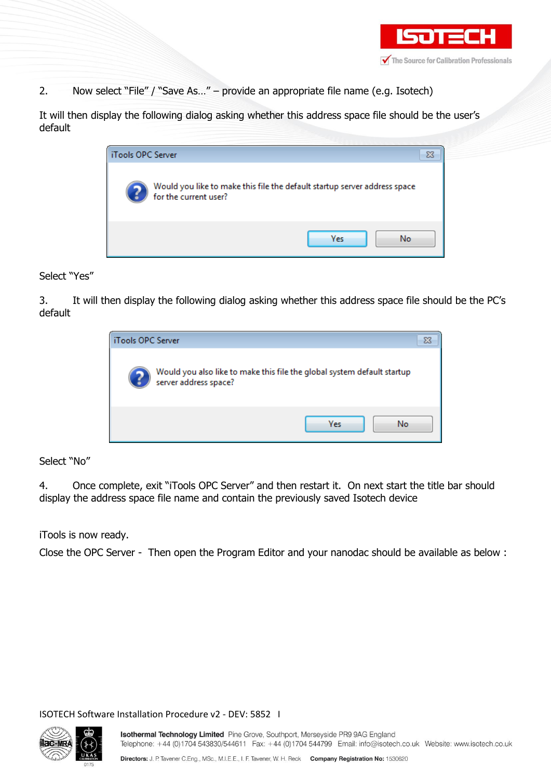

2. Now select "File" / "Save As..." – provide an appropriate file name (e.g. Isotech)

It will then display the following dialog asking whether this address space file should be the user's default

| iTools OPC Server |                                                                                                    | Σ |
|-------------------|----------------------------------------------------------------------------------------------------|---|
|                   | Would you like to make this file the default startup server address space<br>for the current user? |   |
|                   | Yes<br>No                                                                                          |   |

#### Select "Yes"

3. It will then display the following dialog asking whether this address space file should be the PC's default

| iTools OPC Server                                                                                |           |
|--------------------------------------------------------------------------------------------------|-----------|
| Would you also like to make this file the global system default startup<br>server address space? |           |
|                                                                                                  | Yes<br>No |

Select "No"

4. Once complete, exit "iTools OPC Server" and then restart it. On next start the title bar should display the address space file name and contain the previously saved Isotech device

iTools is now ready.

Close the OPC Server - Then open the Program Editor and your nanodac should be available as below :

ISOTECH Software Installation Procedure v2 - DEV: 5852 I